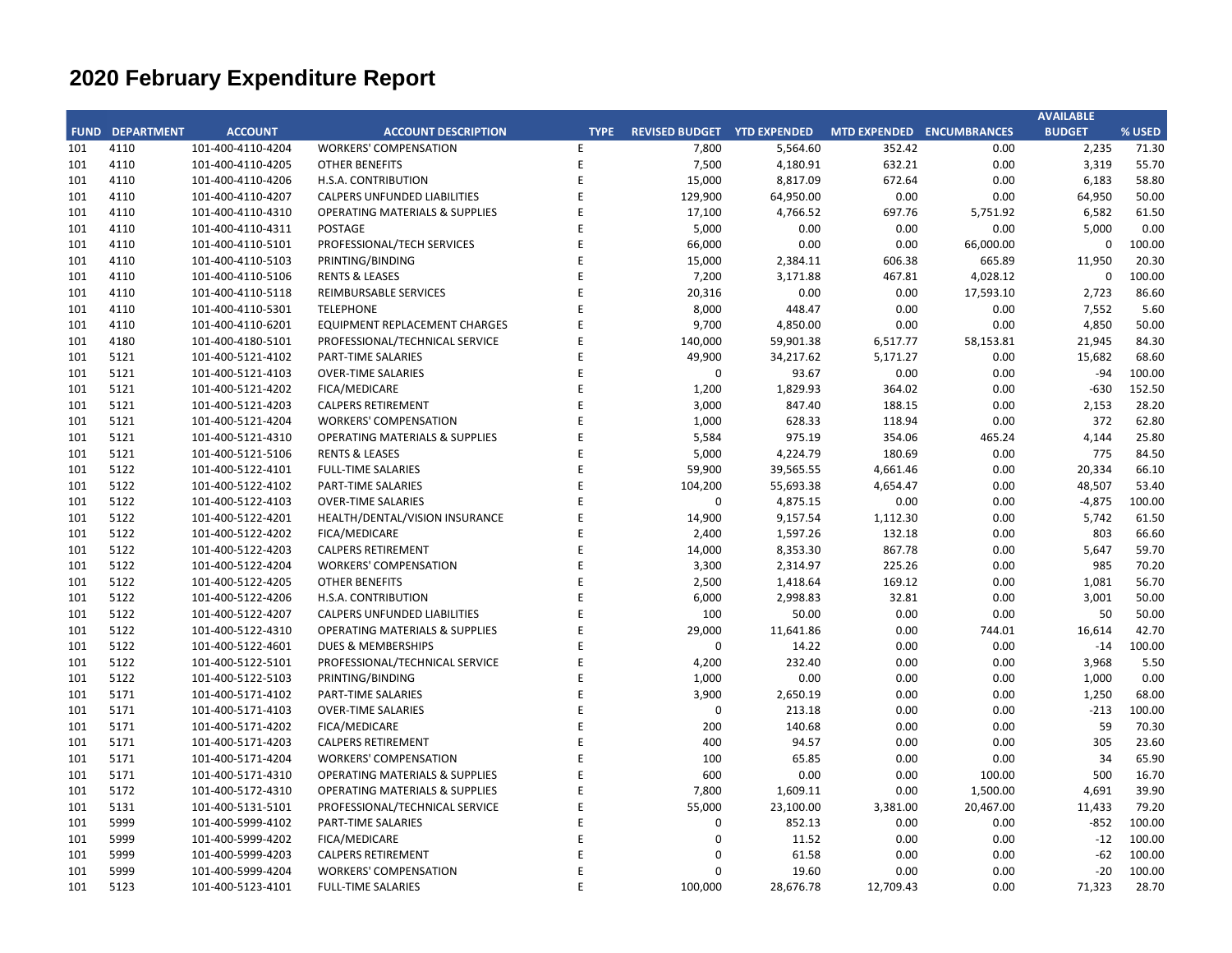## **CITY OF RANCHO PALOS VERDES SUMMARY OF EXPENDITURES - ALL FUNDS February 28, 2021**

|             |                                   |                       | FY 2020-21         |                    |                       | FY 2019-20  |                      |                          |          |
|-------------|-----------------------------------|-----------------------|--------------------|--------------------|-----------------------|-------------|----------------------|--------------------------|----------|
| <b>FUND</b> | <b>FUND DESCRIPTION</b>           | <b>REVISED BUDGET</b> | <b>YTD ACTUALS</b> | <b>YTD ENCUMB.</b> | <b>YTD ACTUALS +</b>  | <b>USED</b> | <b>YTD ACTUALS +</b> | YEAR OVER YEAR CHANGE    |          |
|             |                                   |                       |                    |                    | <b>ENCUMB.</b>        |             | <b>ENCUMB.</b>       | <b>ACTUALS + ENCUMB.</b> |          |
|             | 101 GENERAL FUND                  |                       |                    |                    |                       |             |                      |                          |          |
|             | <b>CITY COUNCIL</b>               | \$<br>102,900         | \$<br>$54,637$ \$  |                    | $0\quad$ \$<br>54,638 | 53.1%       | \$<br>61,502         | (56,864)                 | $-11.2%$ |
|             | <b>LEGAL SERVICES</b>             | 1,000,000             | 566,258            | $\mathbf 0$        | 566,258               | 56.6%       | 621,620              | (55, 362)                | $-8.9%$  |
|             | <b>CITY CLERK</b>                 | 541,000               | 229,983            | 2,330              | 232,313               | 42.9%       | 621,511              | (389, 197)               | $-62.6%$ |
|             | <b>CITY MANAGER</b>               | 728,200               | 382,409            | $\mathbf 0$        | 382,409               | 52.5%       | 446,027              | (63, 618)                | $-14.3%$ |
|             | <b>CITY ADMINISTRATION</b>        | 495,289               | 160,693            | 27,391             | 188,084               | 38.0%       | 222,745              | (34,660)                 | $-15.6%$ |
|             | <b>HUMAN RESOURCES</b>            | 353,200               | 203,722            | 764                | 204,486               | 57.9%       | 254,849              | (50, 363)                | $-19.8%$ |
|             | <b>INFORMATION TECHNOLOGIES</b>   | 1,250,625             | 752,889            | 176,014            | 928,903               | 74.3%       | 889,577              | 39,326                   | 4.4%     |
|             | <b>FINANCE</b>                    | 1,594,772             | 899,607            | 43,669             | 943,276               | 59.1%       | 1,104,268            | (160, 992)               | $-14.6%$ |
|             | <b>PUBLIC WORKS</b>               | 5,557,884             | 2,380,844          | 1,626,393          | 4,007,237             | 72.1%       | 5,268,878            | (1, 261, 640)            | $-23.9%$ |
|             | <b>COMMUNITY DEVELOPMENT</b>      | 3,178,722             | 1,479,583          | 262,774            | 1,742,358             | 54.8%       | 2,247,769            | (505, 412)               | $-22.5%$ |
|             | <b>RECREATIONAL &amp; PARKS</b>   | 3,327,723             | 1,549,730          | 73,836             | 1,623,565             | 48.8%       | 1,712,360            | (88, 795)                | $-5.2%$  |
|             | <b>PUBLIC SAFETY</b>              | 7,407,200             | 3,664,159          | 3,567,997          | 7,232,156             | 97.6%       | 6,503,509            | 728,647                  | 11.2%    |
|             | NON-DEPARTMENTAL                  | 1,875,871             | 941,799            | 66,950             | 1,008,749             | 53.8%       | 810,349              | 198,400                  | 24.5%    |
|             | <b>TRANSFERS OUT</b>              | 2,170,500             | 1,188,500          | $\mathbf 0$        | 1,188,500             | 54.8%       | 2,058,450            | (869, 950)               | $-42.3%$ |
|             | <b>EMERGENCY OPERATION CENTER</b> | 0                     | 235,110            | 51,807             | 286,918               | 0.0%        | 0                    | 286,918                  | 0.0%     |
|             | <b>TOTAL GENERAL FUND</b>         | 29,583,886            | 14,689,924         | 5,899,926          | 20,589,850            | 69.6%       | 22,823,412           | (2, 233, 562)            | $-9.8%$  |
|             |                                   |                       |                    |                    |                       |             |                      |                          |          |
|             | <b>200 SPECIAL REVENUE FUNDS</b>  |                       |                    |                    |                       |             |                      |                          |          |
|             | 202 STREET MAINTENANCE            | 3,061,490             | 2,111,557          | 807,348            | 2,918,905             | 95.3%       | 3,031,284            | (112, 380)               | $-3.7%$  |
|             | 209 EL PRADO LIGHTING DISTRICT    | 800                   | $\mathbf 0$        | $\mathbf 0$        | $\mathbf 0$           | 0.0%        | $\mathbf 0$          | $\mathbf 0$              | 0.0%     |
|             | 211 1911 ACT STREET LIGHTING      | 870,740               | 223,676            | 469,083            | 692,759               | 79.6%       | 844,378              | (151, 618)               | $-18.0%$ |
|             | 213 WASTE REDUCTION               | 287,500               | 126,690            | 61,986             | 188,676               | 65.6%       | 201,671              | (12,995)                 | $-6.4%$  |
|             | 214 AIR QUALITY MANAGEMENT        | 57,000                | 23,369             | 26,161             | 49,530                | 86.9%       | 0                    | 49,530                   | 0.0%     |
|             | 215 PROPOSITION C                 | 950,379               | 2,613              | 897,992            | 900,605               | 94.8%       | 696,231              | 204,374                  | 29.4%    |
|             | 216 PROPOSITION A                 | 1,471,129             | 919,305            | 532,537            | 1,451,842             | 98.7%       | 1,136,444            | 315,397                  | 27.8%    |
|             | 217 PUBLIC SAFETY GRANTS          | 130,000               | 65,000             | $\mathbf 0$        | 65,000                | 50.0%       | 87,500               | (22,500)                 | $-25.7%$ |
|             | 220 MEASURE R                     | 1,033,802             | 316,893            | 568,763            | 885,655               | 85.7%       | 363,669              | 521,986                  | 143.5%   |
|             | 221 MEASURE M                     | 536,000               | 168,527            | 264,537            | 433,063               | 80.8%       | 535,000              | (101, 937)               | $-19.1%$ |
|             | 222 HABITAT RESTORATION           | 184,900               | 92,450             | 92,450             | 184,900               | 100.0%      | 179,497              | 5,403                    | 3.0%     |
|             | 223 SUBREGION ONE MAINTENANCE     | 41,600                | 20,255             | 16,195             | 36,451                | 87.6%       | 36,317               | 133                      | 0.4%     |
|             | 224 MEASURE A MAINTENANCE         | 100,000               | 50,000             | 0                  | 50,000                | 50.0%       | 50,000               | 0                        | 0.0%     |